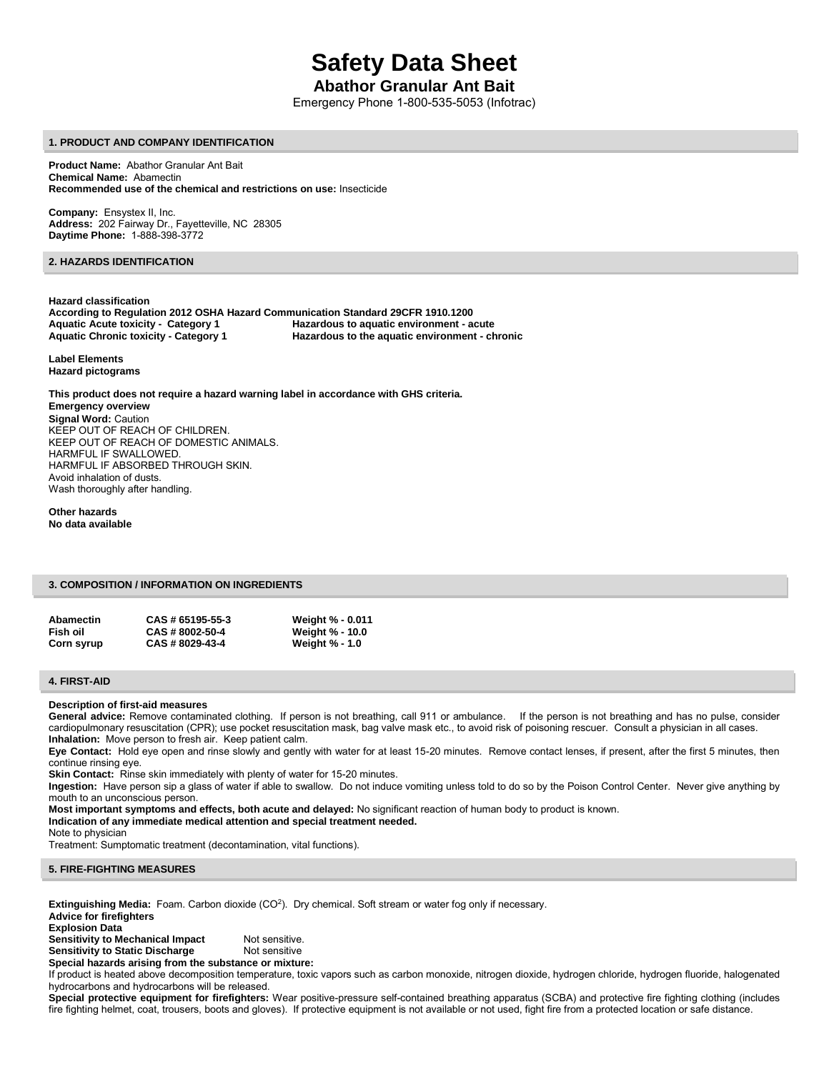# **Safety Data Sheet**

# **Abathor Granular Ant Bait**

Emergency Phone 1-800-535-5053 (Infotrac)

#### **1. PRODUCT AND COMPANY IDENTIFICATION**

**Product Name:** Abathor Granular Ant Bait **Chemical Name:** Abamectin **Recommended use of the chemical and restrictions on use:** Insecticide

**Company:** Ensystex II, Inc. **Address:** 202 Fairway Dr., Fayetteville, NC 28305 **Daytime Phone:** 1-888-398-3772

# **2. HAZARDS IDENTIFICATION**

**Hazard classification According to Regulation 2012 OSHA Hazard Communication Standard 29CFR 1910.1200 Aquatic Acute toxicity - Category 1 Hazardous to aquatic environment - acute**  Hazardous to the aquatic environment - chronic

**Label Elements Hazard pictograms** 

**This product does not require a hazard warning label in accordance with GHS criteria. Emergency overview Signal Word:** Caution KEEP OUT OF REACH OF CHILDREN. KEEP OUT OF REACH OF DOMESTIC ANIMALS. HARMFUL IF SWALLOWED. HARMFUL IF ABSORBED THROUGH SKIN. Avoid inhalation of dusts. Wash thoroughly after handling.

**Other hazards No data available** 

# **3. COMPOSITION / INFORMATION ON INGREDIENTS**

| Abamectin  | CAS # 65195-55-3 | Weight % - 0.011       |
|------------|------------------|------------------------|
| Fish oil   | CAS # 8002-50-4  | <b>Weight % - 10.0</b> |
| Corn syrup | CAS # 8029-43-4  | <b>Weight % - 1.0</b>  |

#### **4. FIRST-AID**

#### **Description of first-aid measures**

General advice: Remove contaminated clothing. If person is not breathing, call 911 or ambulance. If the person is not breathing and has no pulse, consider cardiopulmonary resuscitation (CPR); use pocket resuscitation mask, bag valve mask etc., to avoid risk of poisoning rescuer. Consult a physician in all cases. **Inhalation:** Move person to fresh air. Keep patient calm.

**Eye Contact:** Hold eye open and rinse slowly and gently with water for at least 15-20 minutes. Remove contact lenses, if present, after the first 5 minutes, then continue rinsing eye.

**Skin Contact:** Rinse skin immediately with plenty of water for 15-20 minutes.

**Ingestion:** Have person sip a glass of water if able to swallow. Do not induce vomiting unless told to do so by the Poison Control Center. Never give anything by mouth to an unconscious person.

**Most important symptoms and effects, both acute and delayed:** No significant reaction of human body to product is known.

- **Indication of any immediate medical attention and special treatment needed.**
- Note to physician

Treatment: Sumptomatic treatment (decontamination, vital functions).

**5. FIRE-FIGHTING MEASURES** 

**Extinguishing Media:** Foam. Carbon dioxide (CO<sup>2</sup>). Dry chemical. Soft stream or water fog only if necessary.

**Advice for firefighters Explosion Data** 

**Sensitivity to Mechanical Impact** Not sensitive.<br> **Sensitivity to Static Discharge** Not sensitive **Sensitivity to Static Discharge** 

**Special hazards arising from the substance or mixture:** 

If product is heated above decomposition temperature, toxic vapors such as carbon monoxide, nitrogen dioxide, hydrogen chloride, hydrogen fluoride, halogenated hydrocarbons and hydrocarbons will be released.

**Special protective equipment for firefighters:** Wear positive-pressure self-contained breathing apparatus (SCBA) and protective fire fighting clothing (includes fire fighting helmet, coat, trousers, boots and gloves). If protective equipment is not available or not used, fight fire from a protected location or safe distance.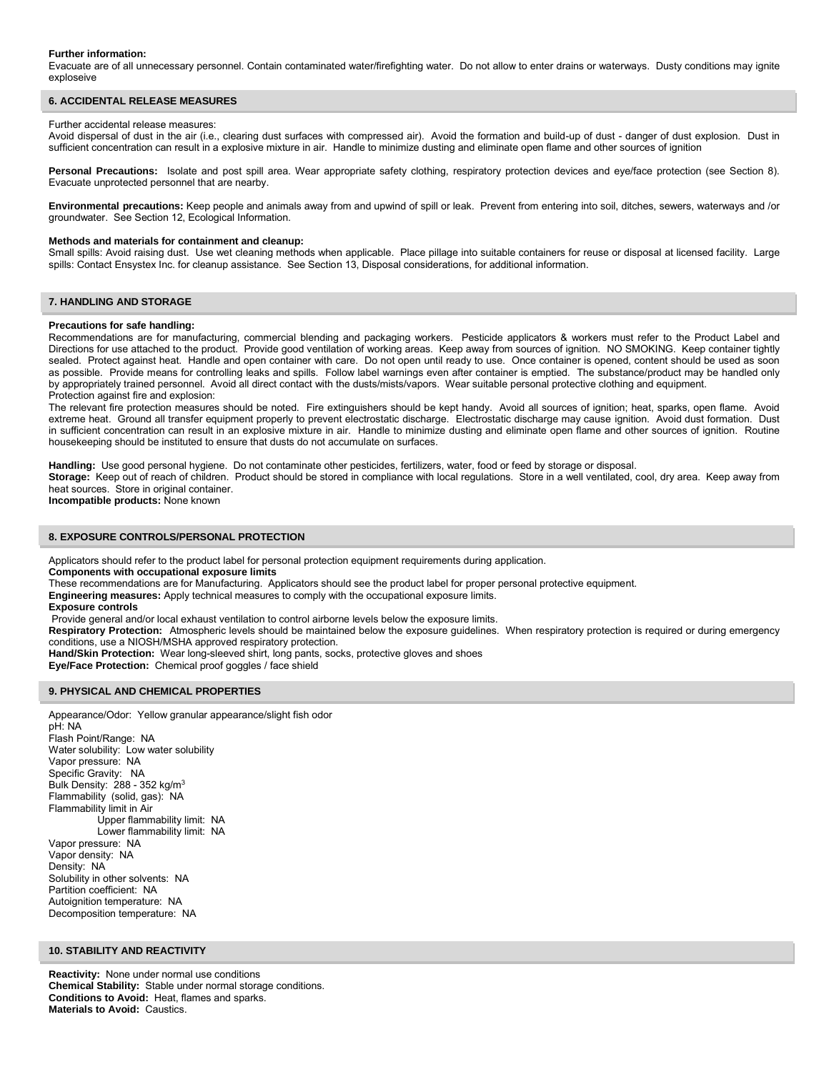#### **Further information:**

Evacuate are of all unnecessary personnel. Contain contaminated water/firefighting water. Do not allow to enter drains or waterways. Dusty conditions may ignite exploseive

#### **6. ACCIDENTAL RELEASE MEASURES**

#### Further accidental release measures:

Avoid dispersal of dust in the air (i.e., clearing dust surfaces with compressed air). Avoid the formation and build-up of dust - danger of dust explosion. Dust in sufficient concentration can result in a explosive mixture in air. Handle to minimize dusting and eliminate open flame and other sources of ignition

Personal Precautions: Isolate and post spill area. Wear appropriate safety clothing, respiratory protection devices and eye/face protection (see Section 8). Evacuate unprotected personnel that are nearby.

**Environmental precautions:** Keep people and animals away from and upwind of spill or leak. Prevent from entering into soil, ditches, sewers, waterways and /or groundwater. See Section 12, Ecological Information.

#### **Methods and materials for containment and cleanup:**

Small spills: Avoid raising dust. Use wet cleaning methods when applicable. Place pillage into suitable containers for reuse or disposal at licensed facility. Large spills: Contact Ensystex Inc. for cleanup assistance. See Section 13, Disposal considerations, for additional information.

# **7. HANDLING AND STORAGE**

#### **Precautions for safe handling:**

Recommendations are for manufacturing, commercial blending and packaging workers. Pesticide applicators & workers must refer to the Product Label and Directions for use attached to the product. Provide good ventilation of working areas. Keep away from sources of ignition. NO SMOKING. Keep container tightly sealed. Protect against heat. Handle and open container with care. Do not open until ready to use. Once container is opened, content should be used as soon as possible. Provide means for controlling leaks and spills. Follow label warnings even after container is emptied. The substance/product may be handled only by appropriately trained personnel. Avoid all direct contact with the dusts/mists/vapors. Wear suitable personal protective clothing and equipment. Protection against fire and explosion:

The relevant fire protection measures should be noted. Fire extinguishers should be kept handy. Avoid all sources of ignition; heat, sparks, open flame. Avoid extreme heat. Ground all transfer equipment properly to prevent electrostatic discharge. Electrostatic discharge may cause ignition. Avoid dust formation. Dust in sufficient concentration can result in an explosive mixture in air. Handle to minimize dusting and eliminate open flame and other sources of ignition. Routine housekeeping should be instituted to ensure that dusts do not accumulate on surfaces.

**Handling:** Use good personal hygiene. Do not contaminate other pesticides, fertilizers, water, food or feed by storage or disposal.

**Storage:** Keep out of reach of children. Product should be stored in compliance with local regulations. Store in a well ventilated, cool, dry area. Keep away from heat sources. Store in original container.

**Incompatible products:** None known

#### **8. EXPOSURE CONTROLS/PERSONAL PROTECTION**

Applicators should refer to the product label for personal protection equipment requirements during application.

**Components with occupational exposure limits** 

These recommendations are for Manufacturing. Applicators should see the product label for proper personal protective equipment.

**Engineering measures:** Apply technical measures to comply with the occupational exposure limits. **Exposure controls** 

Provide general and/or local exhaust ventilation to control airborne levels below the exposure limits.

**Respiratory Protection:** Atmospheric levels should be maintained below the exposure guidelines. When respiratory protection is required or during emergency conditions, use a NIOSH/MSHA approved respiratory protection.

**Hand/Skin Protection:** Wear long-sleeved shirt, long pants, socks, protective gloves and shoes

**Eye/Face Protection:** Chemical proof goggles / face shield

#### **9. PHYSICAL AND CHEMICAL PROPERTIES**

Appearance/Odor: Yellow granular appearance/slight fish odor pH: NA Flash Point/Range: NA Water solubility: Low water solubility Vapor pressure: NA Specific Gravity: NA Bulk Density: 288 - 352 kg/m<sup>3</sup> Flammability (solid, gas): NA Flammability limit in Air Upper flammability limit: NA Lower flammability limit: NA Vapor pressure: NA Vapor density: NA Density: NA Solubility in other solvents: NA Partition coefficient: NA Autoignition temperature: NA Decomposition temperature: NA

#### **10. STABILITY AND REACTIVITY**

**Reactivity:** None under normal use conditions **Chemical Stability:** Stable under normal storage conditions. **Conditions to Avoid:** Heat, flames and sparks. **Materials to Avoid:** Caustics.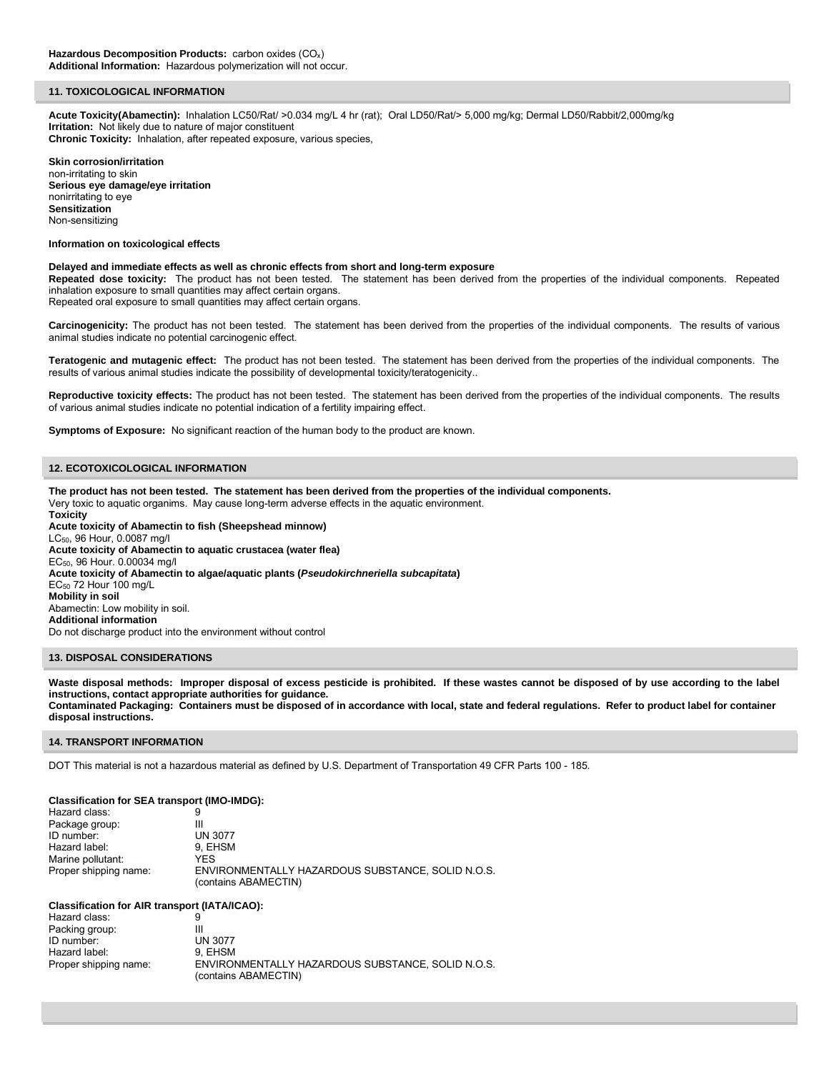#### **11. TOXICOLOGICAL INFORMATION**

**Acute Toxicity(Abamectin):** Inhalation LC50/Rat/ >0.034 mg/L 4 hr (rat); Oral LD50/Rat/> 5,000 mg/kg; Dermal LD50/Rabbit/2,000mg/kg **Irritation:** Not likely due to nature of major constituent **Chronic Toxicity:** Inhalation, after repeated exposure, various species,

**Skin corrosion/irritation**  non-irritating to skin **Serious eye damage/eye irritation**  nonirritating to eye **Sensitization**  Non-sensitizing

**Information on toxicological effects** 

#### **Delayed and immediate effects as well as chronic effects from short and long-term exposure**

**Repeated dose toxicity:** The product has not been tested. The statement has been derived from the properties of the individual components. Repeated inhalation exposure to small quantities may affect certain organs.

Repeated oral exposure to small quantities may affect certain organs.

**Carcinogenicity:** The product has not been tested. The statement has been derived from the properties of the individual components. The results of various animal studies indicate no potential carcinogenic effect.

**Teratogenic and mutagenic effect:** The product has not been tested. The statement has been derived from the properties of the individual components. The results of various animal studies indicate the possibility of developmental toxicity/teratogenicity..

**Reproductive toxicity effects:** The product has not been tested. The statement has been derived from the properties of the individual components. The results of various animal studies indicate no potential indication of a fertility impairing effect.

**Symptoms of Exposure:** No significant reaction of the human body to the product are known.

# **12. ECOTOXICOLOGICAL INFORMATION**

**The product has not been tested. The statement has been derived from the properties of the individual components.**  Very toxic to aquatic organims. May cause long-term adverse effects in the aquatic environment.

**Toxicity Acute toxicity of Abamectin to fish (Sheepshead minnow)**  LC50, 96 Hour, 0.0087 mg/l **Acute toxicity of Abamectin to aquatic crustacea (water flea)**  EC50, 96 Hour. 0.00034 mg/l **Acute toxicity of Abamectin to algae/aquatic plants (***Pseudokirchneriella subcapitata***)**  EC50 72 Hour 100 mg/L **Mobility in soil**  Abamectin: Low mobility in soil. **Additional information** Do not discharge product into the environment without control

#### **13. DISPOSAL CONSIDERATIONS**

Waste disposal methods: Improper disposal of excess pesticide is prohibited. If these wastes cannot be disposed of by use according to the label **instructions, contact appropriate authorities for guidance. Contaminated Packaging: Containers must be disposed of in accordance with local, state and federal regulations. Refer to product label for container disposal instructions.** 

#### **14. TRANSPORT INFORMATION**

DOT This material is not a hazardous material as defined by U.S. Department of Transportation 49 CFR Parts 100 - 185.

#### **Classification for SEA transport (IMO-IMDG):**

| Hazard class:         | 9                                                                         |
|-----------------------|---------------------------------------------------------------------------|
| Package group:        | Ш                                                                         |
| ID number:            | <b>UN 3077</b>                                                            |
| Hazard label:         | 9. EHSM                                                                   |
| Marine pollutant:     | YFS                                                                       |
| Proper shipping name: | ENVIRONMENTALLY HAZARDOUS SUBSTANCE, SOLID N.O.S.<br>(contains ABAMECTIN) |

#### **Classification for AIR transport (IATA/ICAO):**

| Hazard class:         |                                                   |
|-----------------------|---------------------------------------------------|
| Packing group:        | Ш                                                 |
| ID number:            | <b>UN 3077</b>                                    |
| Hazard label:         | 9. EHSM                                           |
| Proper shipping name: | ENVIRONMENTALLY HAZARDOUS SUBSTANCE. SOLID N.O.S. |
|                       | (contains ABAMECTIN)                              |